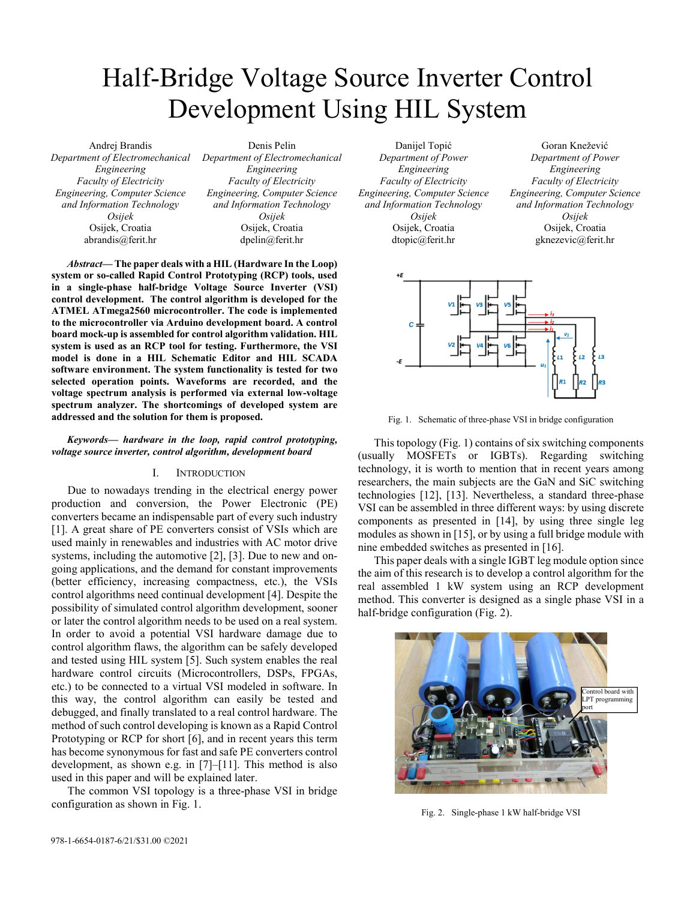# Half-Bridge Voltage Source Inverter Control Development Using HIL System

Andrej Brandis *Department of Electromechanical Engineering Faculty of Electricity Engineering, Computer Science and Information Technology Osijek*  Osijek, Croatia abrandis@ferit.hr

Denis Pelin *Department of Electromechanical Engineering Faculty of Electricity Engineering, Computer Science and Information Technology Osijek*  Osijek, Croatia dpelin@ferit.hr

*Abstract***— The paper deals with a HIL (Hardware In the Loop) system or so-called Rapid Control Prototyping (RCP) tools, used in a single-phase half-bridge Voltage Source Inverter (VSI) control development. The control algorithm is developed for the ATMEL ATmega2560 microcontroller. The code is implemented to the microcontroller via Arduino development board. A control board mock-up is assembled for control algorithm validation. HIL system is used as an RCP tool for testing. Furthermore, the VSI model is done in a HIL Schematic Editor and HIL SCADA software environment. The system functionality is tested for two selected operation points. Waveforms are recorded, and the voltage spectrum analysis is performed via external low-voltage spectrum analyzer. The shortcomings of developed system are addressed and the solution for them is proposed.** 

# *Keywords— hardware in the loop, rapid control prototyping, voltage source inverter, control algorithm, development board*

# I. INTRODUCTION

Due to nowadays trending in the electrical energy power production and conversion, the Power Electronic (PE) converters became an indispensable part of every such industry [1]. A great share of PE converters consist of VSIs which are used mainly in renewables and industries with AC motor drive systems, including the automotive [2], [3]. Due to new and ongoing applications, and the demand for constant improvements (better efficiency, increasing compactness, etc.), the VSIs control algorithms need continual development [4]. Despite the possibility of simulated control algorithm development, sooner or later the control algorithm needs to be used on a real system. In order to avoid a potential VSI hardware damage due to control algorithm flaws, the algorithm can be safely developed and tested using HIL system [5]. Such system enables the real hardware control circuits (Microcontrollers, DSPs, FPGAs, etc.) to be connected to a virtual VSI modeled in software. In this way, the control algorithm can easily be tested and debugged, and finally translated to a real control hardware. The method of such control developing is known as a Rapid Control Prototyping or RCP for short [6], and in recent years this term has become synonymous for fast and safe PE converters control development, as shown e.g. in [7]–[11]. This method is also used in this paper and will be explained later.

The common VSI topology is a three-phase VSI in bridge configuration as shown in Fig. 1.

Danijel Topić *Department of Power Engineering Faculty of Electricity Engineering, Computer Science and Information Technology Osijek*  Osijek, Croatia dtopic@ferit.hr

Goran Knežević *Department of Power Engineering Faculty of Electricity Engineering, Computer Science and Information Technology Osijek*  Osijek, Croatia gknezevic@ferit.hr



Fig. 1. Schematic of three-phase VSI in bridge configuration

This topology (Fig. 1) contains of six switching components (usually MOSFETs or IGBTs). Regarding switching technology, it is worth to mention that in recent years among researchers, the main subjects are the GaN and SiC switching technologies [12], [13]. Nevertheless, a standard three-phase VSI can be assembled in three different ways: by using discrete components as presented in [14], by using three single leg modules as shown in [15], or by using a full bridge module with nine embedded switches as presented in [16].

This paper deals with a single IGBT leg module option since the aim of this research is to develop a control algorithm for the real assembled 1 kW system using an RCP development method. This converter is designed as a single phase VSI in a half-bridge configuration (Fig. 2).



Fig. 2. Single-phase 1 kW half-bridge VSI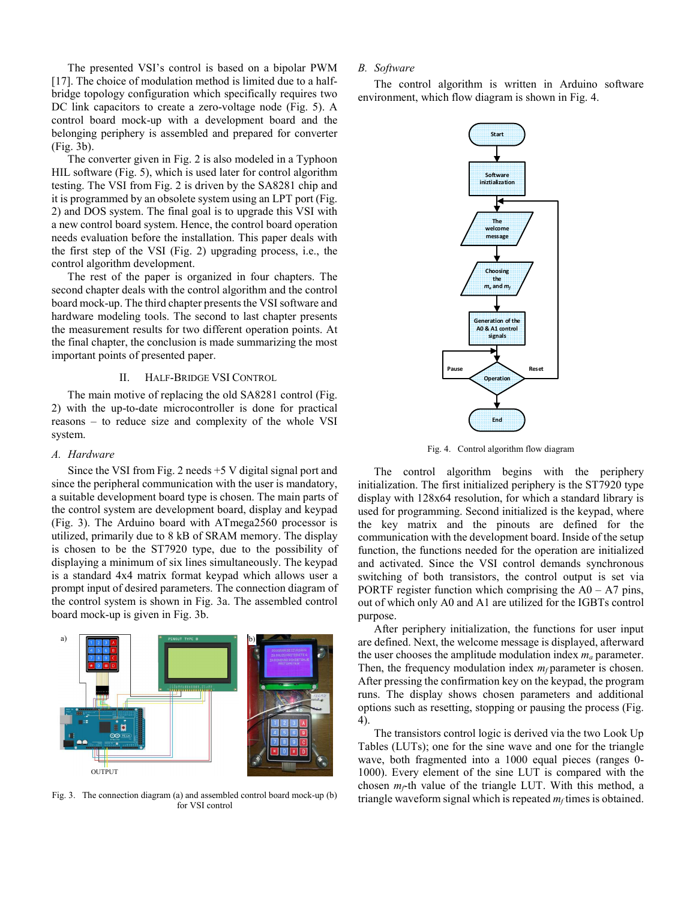The presented VSI's control is based on a bipolar PWM [17]. The choice of modulation method is limited due to a halfbridge topology configuration which specifically requires two DC link capacitors to create a zero-voltage node (Fig. 5). A control board mock-up with a development board and the belonging periphery is assembled and prepared for converter (Fig. 3b).

The converter given in Fig. 2 is also modeled in a Typhoon HIL software (Fig. 5), which is used later for control algorithm testing. The VSI from Fig. 2 is driven by the SA8281 chip and it is programmed by an obsolete system using an LPT port (Fig. 2) and DOS system. The final goal is to upgrade this VSI with a new control board system. Hence, the control board operation needs evaluation before the installation. This paper deals with the first step of the VSI (Fig. 2) upgrading process, i.e., the control algorithm development.

The rest of the paper is organized in four chapters. The second chapter deals with the control algorithm and the control board mock-up. The third chapter presents the VSI software and hardware modeling tools. The second to last chapter presents the measurement results for two different operation points. At the final chapter, the conclusion is made summarizing the most important points of presented paper.

# II. HALF-BRIDGE VSI CONTROL

The main motive of replacing the old SA8281 control (Fig. 2) with the up-to-date microcontroller is done for practical reasons – to reduce size and complexity of the whole VSI system.

#### *A. Hardware*

Since the VSI from Fig. 2 needs +5 V digital signal port and since the peripheral communication with the user is mandatory, a suitable development board type is chosen. The main parts of the control system are development board, display and keypad (Fig. 3). The Arduino board with ATmega2560 processor is utilized, primarily due to 8 kB of SRAM memory. The display is chosen to be the ST7920 type, due to the possibility of displaying a minimum of six lines simultaneously. The keypad is a standard 4x4 matrix format keypad which allows user a prompt input of desired parameters. The connection diagram of the control system is shown in Fig. 3a. The assembled control board mock-up is given in Fig. 3b.

# OUTPUT a)  $\begin{bmatrix} 1 & 0 \end{bmatrix}$  b)

Fig. 3. The connection diagram (a) and assembled control board mock-up (b) for VSI control

# *B. Software*

The control algorithm is written in Arduino software environment, which flow diagram is shown in Fig. 4.



Fig. 4. Control algorithm flow diagram

The control algorithm begins with the periphery initialization. The first initialized periphery is the ST7920 type display with 128x64 resolution, for which a standard library is used for programming. Second initialized is the keypad, where the key matrix and the pinouts are defined for the communication with the development board. Inside of the setup function, the functions needed for the operation are initialized and activated. Since the VSI control demands synchronous switching of both transistors, the control output is set via PORTF register function which comprising the  $A0 - A7$  pins, out of which only A0 and A1 are utilized for the IGBTs control purpose.

After periphery initialization, the functions for user input are defined. Next, the welcome message is displayed, afterward the user chooses the amplitude modulation index *ma* parameter. Then, the frequency modulation index  $m_f$  parameter is chosen. After pressing the confirmation key on the keypad, the program runs. The display shows chosen parameters and additional options such as resetting, stopping or pausing the process (Fig. 4).

The transistors control logic is derived via the two Look Up Tables (LUTs); one for the sine wave and one for the triangle wave, both fragmented into a 1000 equal pieces (ranges 0- 1000). Every element of the sine LUT is compared with the chosen  $m_f$ <sup>th</sup> value of the triangle LUT. With this method, a triangle waveform signal which is repeated  $m_f$  times is obtained.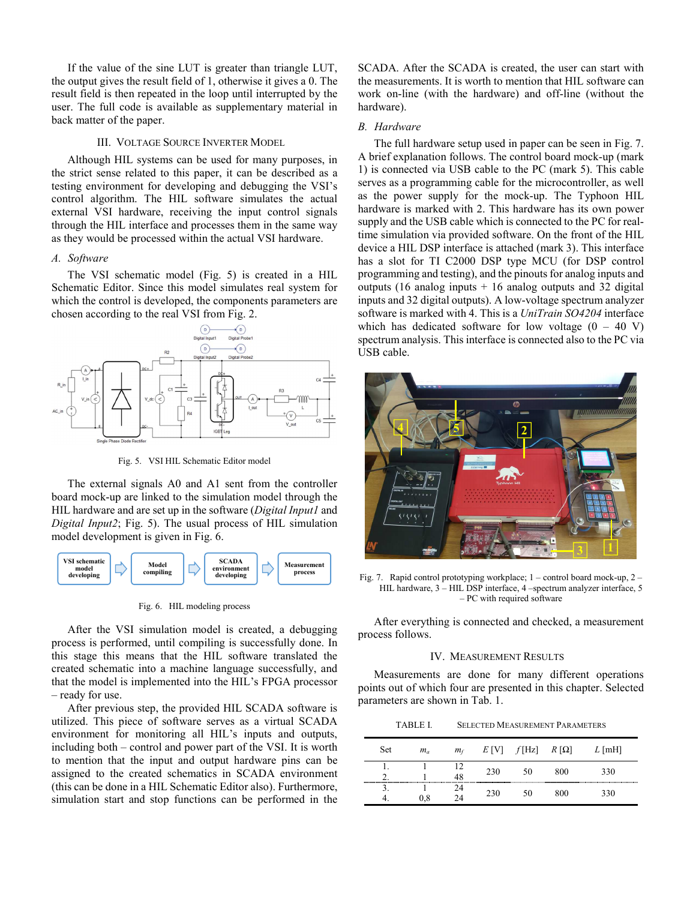If the value of the sine LUT is greater than triangle LUT, the output gives the result field of 1, otherwise it gives a 0. The result field is then repeated in the loop until interrupted by the user. The full code is available as supplementary material in back matter of the paper.

# III. VOLTAGE SOURCE INVERTER MODEL

Although HIL systems can be used for many purposes, in the strict sense related to this paper, it can be described as a testing environment for developing and debugging the VSI's control algorithm. The HIL software simulates the actual external VSI hardware, receiving the input control signals through the HIL interface and processes them in the same way as they would be processed within the actual VSI hardware.

# *A. Software*

The VSI schematic model (Fig. 5) is created in a HIL Schematic Editor. Since this model simulates real system for which the control is developed, the components parameters are chosen according to the real VSI from Fig. 2.



Fig. 5. VSI HIL Schematic Editor model

The external signals A0 and A1 sent from the controller board mock-up are linked to the simulation model through the HIL hardware and are set up in the software (*Digital Input1* and *Digital Input2*; Fig. 5). The usual process of HIL simulation model development is given in Fig. 6.



Fig. 6. HIL modeling process

After the VSI simulation model is created, a debugging process is performed, until compiling is successfully done. In this stage this means that the HIL software translated the created schematic into a machine language successfully, and that the model is implemented into the HIL's FPGA processor – ready for use.

After previous step, the provided HIL SCADA software is utilized. This piece of software serves as a virtual SCADA environment for monitoring all HIL's inputs and outputs, including both – control and power part of the VSI. It is worth to mention that the input and output hardware pins can be assigned to the created schematics in SCADA environment (this can be done in a HIL Schematic Editor also). Furthermore, simulation start and stop functions can be performed in the SCADA. After the SCADA is created, the user can start with the measurements. It is worth to mention that HIL software can work on-line (with the hardware) and off-line (without the hardware).

# *B. Hardware*

The full hardware setup used in paper can be seen in Fig. 7. A brief explanation follows. The control board mock-up (mark 1) is connected via USB cable to the PC (mark 5). This cable serves as a programming cable for the microcontroller, as well as the power supply for the mock-up. The Typhoon HIL hardware is marked with 2. This hardware has its own power supply and the USB cable which is connected to the PC for realtime simulation via provided software. On the front of the HIL device a HIL DSP interface is attached (mark 3). This interface has a slot for TI C2000 DSP type MCU (for DSP control programming and testing), and the pinouts for analog inputs and outputs (16 analog inputs  $+ 16$  analog outputs and 32 digital inputs and 32 digital outputs). A low-voltage spectrum analyzer software is marked with 4. This is a *UniTrain SO4204* interface which has dedicated software for low voltage  $(0 - 40 V)$ spectrum analysis. This interface is connected also to the PC via USB cable.



Fig. 7. Rapid control prototyping workplace; 1 – control board mock-up, 2 – HIL hardware, 3 – HIL DSP interface, 4 –spectrum analyzer interface, 5 – PC with required software

After everything is connected and checked, a measurement process follows.

# IV. MEASUREMENT RESULTS

Measurements are done for many different operations points out of which four are presented in this chapter. Selected parameters are shown in Tab. 1.

TABLE I. SELECTED MEASUREMENT PARAMETERS

| Set | $m_a$ | $m_f$ | E I VI | f[Hz] | $R[\Omega]$ | $L$ [mH] |
|-----|-------|-------|--------|-------|-------------|----------|
|     |       | 48    | 230    | 50    | 800         | 330      |
|     | 0.8   | 24    | 230    | 50    | 800         | 330      |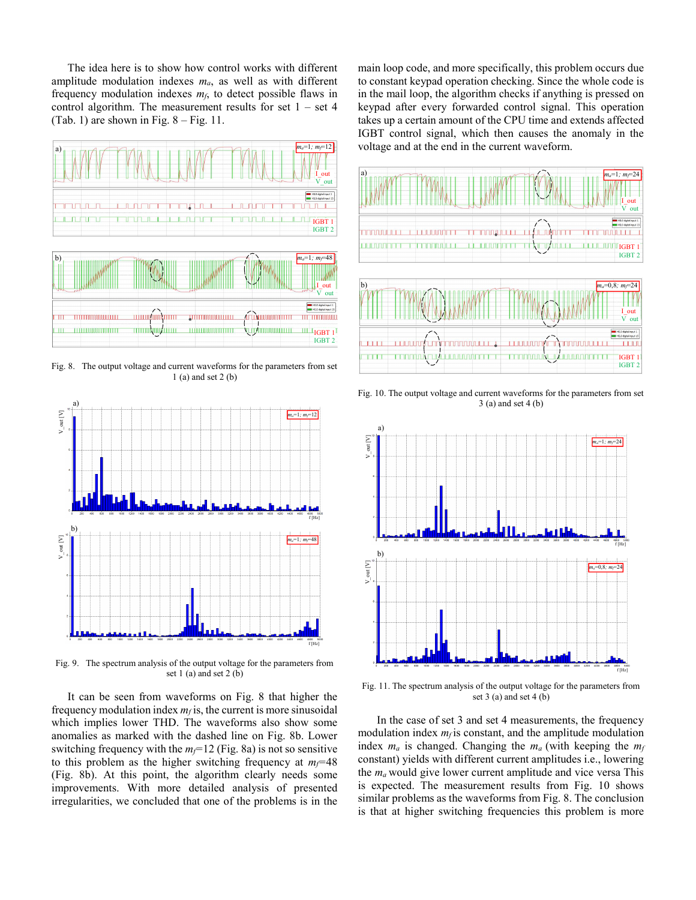The idea here is to show how control works with different amplitude modulation indexes *ma*, as well as with different frequency modulation indexes *mf*, to detect possible flaws in control algorithm. The measurement results for set  $1 - set 4$ (Tab. 1) are shown in Fig.  $8 - Fig. 11$ .



Fig. 8. The output voltage and current waveforms for the parameters from set 1 (a) and set 2 (b)



Fig. 9. The spectrum analysis of the output voltage for the parameters from set 1 (a) and set 2 (b)

It can be seen from waveforms on Fig. 8 that higher the frequency modulation index  $m_f$  is, the current is more sinusoidal which implies lower THD. The waveforms also show some anomalies as marked with the dashed line on Fig. 8b. Lower switching frequency with the  $m_f$ =12 (Fig. 8a) is not so sensitive to this problem as the higher switching frequency at  $m_f$ =48 (Fig. 8b). At this point, the algorithm clearly needs some improvements. With more detailed analysis of presented irregularities, we concluded that one of the problems is in the main loop code, and more specifically, this problem occurs due to constant keypad operation checking. Since the whole code is in the mail loop, the algorithm checks if anything is pressed on keypad after every forwarded control signal. This operation takes up a certain amount of the CPU time and extends affected IGBT control signal, which then causes the anomaly in the voltage and at the end in the current waveform.



Fig. 10. The output voltage and current waveforms for the parameters from set 3 (a) and set 4 (b)



Fig. 11. The spectrum analysis of the output voltage for the parameters from set  $3$  (a) and set  $4$  (b)

 In the case of set 3 and set 4 measurements, the frequency modulation index  $m_f$  is constant, and the amplitude modulation index  $m_a$  is changed. Changing the  $m_a$  (with keeping the  $m_f$ constant) yields with different current amplitudes i.e., lowering the  $m_a$  would give lower current amplitude and vice versa This is expected. The measurement results from Fig. 10 shows similar problems as the waveforms from Fig. 8. The conclusion is that at higher switching frequencies this problem is more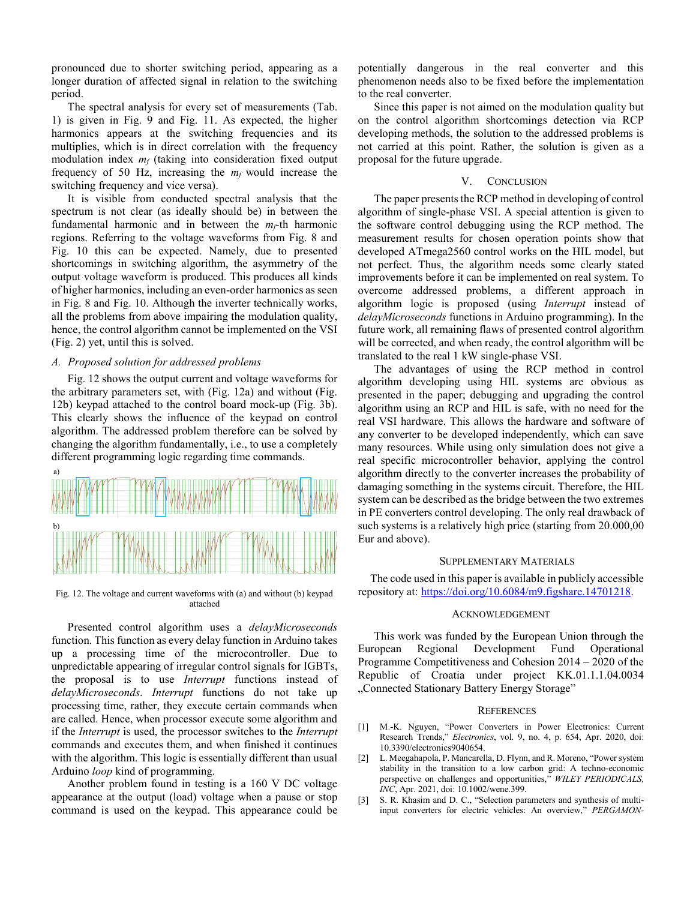pronounced due to shorter switching period, appearing as a longer duration of affected signal in relation to the switching period.

The spectral analysis for every set of measurements (Tab. 1) is given in Fig. 9 and Fig. 11. As expected, the higher harmonics appears at the switching frequencies and its multiplies, which is in direct correlation with the frequency modulation index *mf* (taking into consideration fixed output frequency of 50 Hz, increasing the *mf* would increase the switching frequency and vice versa).

It is visible from conducted spectral analysis that the spectrum is not clear (as ideally should be) in between the fundamental harmonic and in between the  $m_f$ <sup>th</sup> harmonic regions. Referring to the voltage waveforms from Fig. 8 and Fig. 10 this can be expected. Namely, due to presented shortcomings in switching algorithm, the asymmetry of the output voltage waveform is produced. This produces all kinds of higher harmonics, including an even-order harmonics as seen in Fig. 8 and Fig. 10. Although the inverter technically works, all the problems from above impairing the modulation quality, hence, the control algorithm cannot be implemented on the VSI (Fig. 2) yet, until this is solved.

# *A. Proposed solution for addressed problems*

Fig. 12 shows the output current and voltage waveforms for the arbitrary parameters set, with (Fig. 12a) and without (Fig. 12b) keypad attached to the control board mock-up (Fig. 3b). This clearly shows the influence of the keypad on control algorithm. The addressed problem therefore can be solved by changing the algorithm fundamentally, i.e., to use a completely different programming logic regarding time commands.



Fig. 12. The voltage and current waveforms with (a) and without (b) keypad attached

Presented control algorithm uses a *delayMicroseconds* function. This function as every delay function in Arduino takes up a processing time of the microcontroller. Due to unpredictable appearing of irregular control signals for IGBTs, the proposal is to use *Interrupt* functions instead of *delayMicroseconds*. *Interrupt* functions do not take up processing time, rather, they execute certain commands when are called. Hence, when processor execute some algorithm and if the *Interrupt* is used, the processor switches to the *Interrupt* commands and executes them, and when finished it continues with the algorithm. This logic is essentially different than usual Arduino *loop* kind of programming.

Another problem found in testing is a 160 V DC voltage appearance at the output (load) voltage when a pause or stop command is used on the keypad. This appearance could be potentially dangerous in the real converter and this phenomenon needs also to be fixed before the implementation to the real converter.

Since this paper is not aimed on the modulation quality but on the control algorithm shortcomings detection via RCP developing methods, the solution to the addressed problems is not carried at this point. Rather, the solution is given as a proposal for the future upgrade.

# V. CONCLUSION

The paper presents the RCP method in developing of control algorithm of single-phase VSI. A special attention is given to the software control debugging using the RCP method. The measurement results for chosen operation points show that developed ATmega2560 control works on the HIL model, but not perfect. Thus, the algorithm needs some clearly stated improvements before it can be implemented on real system. To overcome addressed problems, a different approach in algorithm logic is proposed (using *Interrupt* instead of *delayMicroseconds* functions in Arduino programming). In the future work, all remaining flaws of presented control algorithm will be corrected, and when ready, the control algorithm will be translated to the real 1 kW single-phase VSI.

The advantages of using the RCP method in control algorithm developing using HIL systems are obvious as presented in the paper; debugging and upgrading the control algorithm using an RCP and HIL is safe, with no need for the real VSI hardware. This allows the hardware and software of any converter to be developed independently, which can save many resources. While using only simulation does not give a real specific microcontroller behavior, applying the control algorithm directly to the converter increases the probability of damaging something in the systems circuit. Therefore, the HIL system can be described as the bridge between the two extremes in PE converters control developing. The only real drawback of such systems is a relatively high price (starting from 20.000,00 Eur and above).

## SUPPLEMENTARY MATERIALS

The code used in this paper is available in publicly accessible repository at: https://doi.org/10.6084/m9.figshare.14701218.

### ACKNOWLEDGEMENT

This work was funded by the European Union through the European Regional Development Fund Operational Programme Competitiveness and Cohesion 2014 – 2020 of the Republic of Croatia under project KK.01.1.1.04.0034 "Connected Stationary Battery Energy Storage"

# **REFERENCES**

- [1] M.-K. Nguyen, "Power Converters in Power Electronics: Current Research Trends," *Electronics*, vol. 9, no. 4, p. 654, Apr. 2020, doi: 10.3390/electronics9040654.
- [2] L. Meegahapola, P. Mancarella, D. Flynn, and R. Moreno, "Power system stability in the transition to a low carbon grid: A techno-economic perspective on challenges and opportunities," *WILEY PERIODICALS, INC*, Apr. 2021, doi: 10.1002/wene.399.
- [3] S. R. Khasim and D. C., "Selection parameters and synthesis of multiinput converters for electric vehicles: An overview," *PERGAMON-*